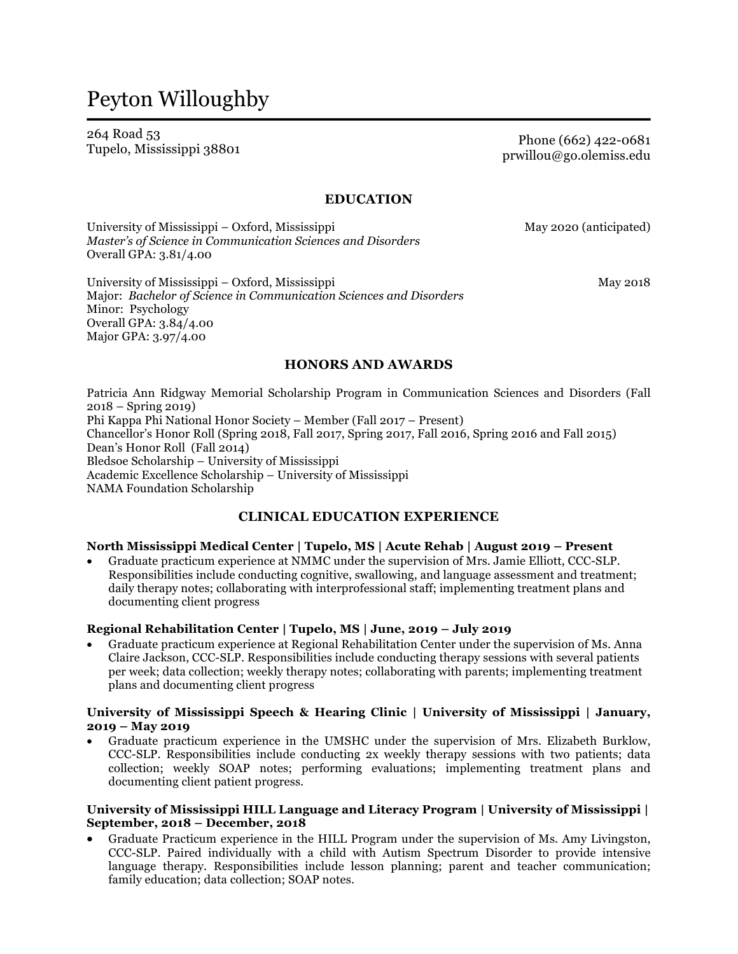# Peyton Willoughby

264 Road 53 Tupelo, Mississippi <sup>38801</sup> Phone (662) 422-0681

prwillou@go.olemiss.edu

#### **EDUCATION**

University of Mississippi – Oxford, Mississippi May 2020 (anticipated) *Master's of Science in Communication Sciences and Disorders* Overall GPA: 3.81/4.00

University of Mississippi – Oxford, Mississippi May 2018 Major: *Bachelor of Science in Communication Sciences and Disorders* Minor: Psychology Overall GPA: 3.84/4.00 Major GPA: 3.97/4.00

### **HONORS AND AWARDS**

Patricia Ann Ridgway Memorial Scholarship Program in Communication Sciences and Disorders (Fall 2018 – Spring 2019) Phi Kappa Phi National Honor Society – Member (Fall 2017 – Present) Chancellor's Honor Roll (Spring 2018, Fall 2017, Spring 2017, Fall 2016, Spring 2016 and Fall 2015) Dean's Honor Roll (Fall 2014) Bledsoe Scholarship – University of Mississippi Academic Excellence Scholarship – University of Mississippi NAMA Foundation Scholarship

### **CLINICAL EDUCATION EXPERIENCE**

#### **North Mississippi Medical Center | Tupelo, MS | Acute Rehab | August 2019 – Present**

• Graduate practicum experience at NMMC under the supervision of Mrs. Jamie Elliott, CCC-SLP. Responsibilities include conducting cognitive, swallowing, and language assessment and treatment; daily therapy notes; collaborating with interprofessional staff; implementing treatment plans and documenting client progress

#### **Regional Rehabilitation Center | Tupelo, MS | June, 2019 – July 2019**

• Graduate practicum experience at Regional Rehabilitation Center under the supervision of Ms. Anna Claire Jackson, CCC-SLP. Responsibilities include conducting therapy sessions with several patients per week; data collection; weekly therapy notes; collaborating with parents; implementing treatment plans and documenting client progress

#### **University of Mississippi Speech & Hearing Clinic | University of Mississippi | January, 2019 – May 2019**

• Graduate practicum experience in the UMSHC under the supervision of Mrs. Elizabeth Burklow, CCC-SLP. Responsibilities include conducting 2x weekly therapy sessions with two patients; data collection; weekly SOAP notes; performing evaluations; implementing treatment plans and documenting client patient progress.

#### **University of Mississippi HILL Language and Literacy Program | University of Mississippi | September, 2018 – December, 2018**

• Graduate Practicum experience in the HILL Program under the supervision of Ms. Amy Livingston, CCC-SLP. Paired individually with a child with Autism Spectrum Disorder to provide intensive language therapy. Responsibilities include lesson planning; parent and teacher communication; family education; data collection; SOAP notes.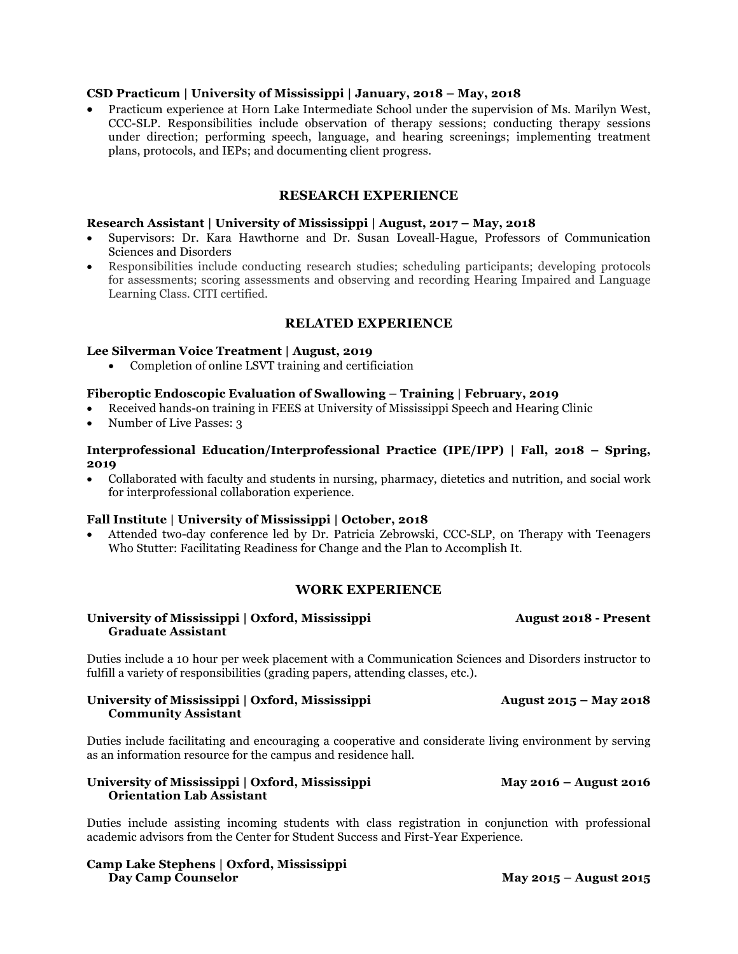#### **CSD Practicum | University of Mississippi | January, 2018 – May, 2018**

• Practicum experience at Horn Lake Intermediate School under the supervision of Ms. Marilyn West, CCC-SLP. Responsibilities include observation of therapy sessions; conducting therapy sessions under direction; performing speech, language, and hearing screenings; implementing treatment plans, protocols, and IEPs; and documenting client progress.

#### **RESEARCH EXPERIENCE**

#### **Research Assistant | University of Mississippi | August, 2017 – May, 2018**

- Supervisors: Dr. Kara Hawthorne and Dr. Susan Loveall-Hague, Professors of Communication Sciences and Disorders
- Responsibilities include conducting research studies; scheduling participants; developing protocols for assessments; scoring assessments and observing and recording Hearing Impaired and Language Learning Class. CITI certified.

#### **RELATED EXPERIENCE**

#### **Lee Silverman Voice Treatment | August, 2019**

• Completion of online LSVT training and certificiation

#### **Fiberoptic Endoscopic Evaluation of Swallowing – Training | February, 2019**

- Received hands-on training in FEES at University of Mississippi Speech and Hearing Clinic
- Number of Live Passes: 3

#### **Interprofessional Education/Interprofessional Practice (IPE/IPP) | Fall, 2018 – Spring, 2019**

• Collaborated with faculty and students in nursing, pharmacy, dietetics and nutrition, and social work for interprofessional collaboration experience.

#### **Fall Institute | University of Mississippi | October, 2018**

• Attended two-day conference led by Dr. Patricia Zebrowski, CCC-SLP, on Therapy with Teenagers Who Stutter: Facilitating Readiness for Change and the Plan to Accomplish It.

### **WORK EXPERIENCE**

#### **University of Mississippi | Oxford, Mississippi August 2018 - Present Graduate Assistant**

Duties include a 10 hour per week placement with a Communication Sciences and Disorders instructor to fulfill a variety of responsibilities (grading papers, attending classes, etc.).

#### **University of Mississippi | Oxford, Mississippi August 2015 – May 2018 Community Assistant**

Duties include facilitating and encouraging a cooperative and considerate living environment by serving as an information resource for the campus and residence hall.

#### **University of Mississippi | Oxford, Mississippi May 2016 – August 2016 Orientation Lab Assistant**

Duties include assisting incoming students with class registration in conjunction with professional academic advisors from the Center for Student Success and First-Year Experience.

**Camp Lake Stephens | Oxford, Mississippi Day Camp Counselor May 2015 – August 2015**